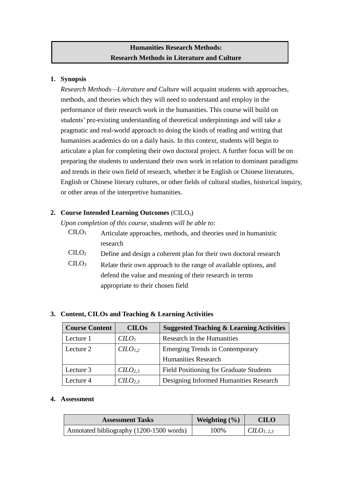# **Humanities Research Methods: Research Methods in Literature and Culture**

### **1. Synopsis**

*Research Methods—Literature and Culture* will acquaint students with approaches, methods, and theories which they will need to understand and employ in the performance of their research work in the humanities. This course will build on students' pre-existing understanding of theoretical underpinnings and will take a pragmatic and real-world approach to doing the kinds of reading and writing that humanities academics do on a daily basis. In this context, students will begin to articulate a plan for completing their own doctoral project. A further focus will be on preparing the students to understand their own work in relation to dominant paradigms and trends in their own field of research, whether it be English or Chinese literatures, English or Chinese literary cultures, or other fields of cultural studies, historical inquiry, or other areas of the interpretive humanities.

# **2. Course Intended Learning Outcomes** (CILOs)

*Upon completion of this course, students will be able to:*

- $CID<sub>1</sub>$  Articulate approaches, methods, and theories used in humanistic research
- $CILO<sub>2</sub>$  Define and design a coherent plan for their own doctoral research
- CILO<sup>3</sup> Relate their own approach to the range of available options, and defend the value and meaning of their research in terms appropriate to their chosen field

| <b>Course Content</b> | <b>CILOs</b>        | <b>Suggested Teaching &amp; Learning Activities</b> |  |
|-----------------------|---------------------|-----------------------------------------------------|--|
| Lecture 1             | $C LO$              | Research in the Humanities                          |  |
| Lecture 2             | C <sub>1,2</sub>    | <b>Emerging Trends in Contemporary</b>              |  |
|                       |                     | <b>Humanities Research</b>                          |  |
| Lecture 3             | CILO <sub>2.3</sub> | <b>Field Positioning for Graduate Students</b>      |  |
| Lecture 4             | CILO <sub>2.3</sub> | Designing Informed Humanities Research              |  |

# **3. Content, CILOs and Teaching & Learning Activities**

#### **4. Assessment**

| <b>Assessment Tasks</b>                  | Weighting $(\% )$ | <b>CILO</b>            |
|------------------------------------------|-------------------|------------------------|
| Annotated bibliography (1200-1500 words) | 100%              | CILO <sub>1, 2,3</sub> |